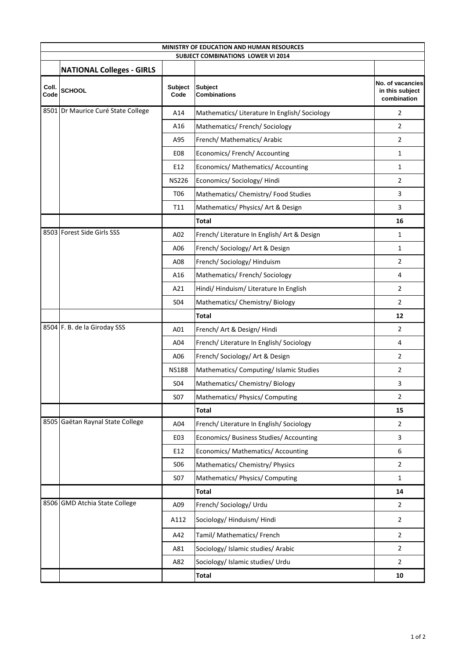| MINISTRY OF EDUCATION AND HUMAN RESOURCES |                                    |                        |                                               |                                                    |  |  |  |
|-------------------------------------------|------------------------------------|------------------------|-----------------------------------------------|----------------------------------------------------|--|--|--|
| <b>SUBJECT COMBINATIONS LOWER VI 2014</b> |                                    |                        |                                               |                                                    |  |  |  |
|                                           | <b>NATIONAL Colleges - GIRLS</b>   |                        |                                               |                                                    |  |  |  |
| Coll.<br>Code                             | <b>SCHOOL</b>                      | <b>Subject</b><br>Code | <b>Subject</b><br><b>Combinations</b>         | No. of vacancies<br>in this subject<br>combination |  |  |  |
|                                           | 8501 Dr Maurice Curé State College | A14                    | Mathematics/ Literature In English/ Sociology | 2                                                  |  |  |  |
|                                           |                                    | A16                    | Mathematics/ French/ Sociology                | $\overline{2}$                                     |  |  |  |
|                                           |                                    | A95                    | French/ Mathematics/ Arabic                   | $\overline{2}$                                     |  |  |  |
|                                           |                                    | E08                    | Economics/ French/ Accounting                 | $\mathbf{1}$                                       |  |  |  |
|                                           |                                    | E12                    | Economics/ Mathematics/ Accounting            | 1                                                  |  |  |  |
|                                           |                                    | <b>NS226</b>           | Economics/ Sociology/ Hindi                   | $\overline{2}$                                     |  |  |  |
|                                           |                                    | T <sub>06</sub>        | Mathematics/ Chemistry/ Food Studies          | 3                                                  |  |  |  |
|                                           |                                    | T11                    | Mathematics/ Physics/ Art & Design            | 3                                                  |  |  |  |
|                                           |                                    |                        | <b>Total</b>                                  | 16                                                 |  |  |  |
|                                           | 8503 Forest Side Girls SSS         | A02                    | French/ Literature In English/ Art & Design   | $\mathbf{1}$                                       |  |  |  |
|                                           |                                    | A06                    | French/ Sociology/ Art & Design               | $\mathbf{1}$                                       |  |  |  |
|                                           |                                    | A08                    | French/ Sociology/ Hinduism                   | 2                                                  |  |  |  |
|                                           |                                    | A16                    | Mathematics/ French/ Sociology                | 4                                                  |  |  |  |
|                                           |                                    | A21                    | Hindi/Hinduism/Literature In English          | 2                                                  |  |  |  |
|                                           |                                    | S04                    | Mathematics/ Chemistry/ Biology               | $\overline{2}$                                     |  |  |  |
|                                           |                                    |                        | <b>Total</b>                                  | 12                                                 |  |  |  |
|                                           | 8504 F. B. de la Giroday SSS       | A01                    | French/ Art & Design/ Hindi                   | 2                                                  |  |  |  |
|                                           |                                    | A04                    | French/ Literature In English/ Sociology      | 4                                                  |  |  |  |
|                                           |                                    | A06                    | French/ Sociology/ Art & Design               | $\overline{2}$                                     |  |  |  |
|                                           |                                    | <b>NS188</b>           | Mathematics/ Computing/ Islamic Studies       | 2                                                  |  |  |  |
|                                           |                                    | <b>SO4</b>             | Mathematics/ Chemistry/ Biology               | 3                                                  |  |  |  |
|                                           |                                    | <b>S07</b>             | Mathematics/ Physics/ Computing               | 2                                                  |  |  |  |
|                                           |                                    |                        | <b>Total</b>                                  | 15                                                 |  |  |  |
|                                           | 8505 Gaëtan Raynal State College   | A04                    | French/ Literature In English/ Sociology      | $\overline{2}$                                     |  |  |  |
|                                           |                                    | E03                    | Economics/ Business Studies/ Accounting       | 3                                                  |  |  |  |
|                                           |                                    | E12                    | Economics/ Mathematics/ Accounting            | 6                                                  |  |  |  |
|                                           |                                    | S <sub>06</sub>        | Mathematics/ Chemistry/ Physics               | $\overline{2}$                                     |  |  |  |
|                                           |                                    | <b>S07</b>             | Mathematics/ Physics/ Computing               | $\mathbf{1}$                                       |  |  |  |
|                                           |                                    |                        | <b>Total</b>                                  | 14                                                 |  |  |  |
|                                           | 8506 GMD Atchia State College      | A09                    | French/ Sociology/ Urdu                       | $\overline{2}$                                     |  |  |  |
|                                           |                                    | A112                   | Sociology/Hinduism/Hindi                      | $\overline{2}$                                     |  |  |  |
|                                           |                                    | A42                    | Tamil/ Mathematics/ French                    | $\overline{2}$                                     |  |  |  |
|                                           |                                    | A81                    | Sociology/ Islamic studies/ Arabic            | $\overline{2}$                                     |  |  |  |
|                                           |                                    | A82                    | Sociology/ Islamic studies/ Urdu              | $\overline{2}$                                     |  |  |  |
|                                           |                                    |                        | <b>Total</b>                                  | 10                                                 |  |  |  |